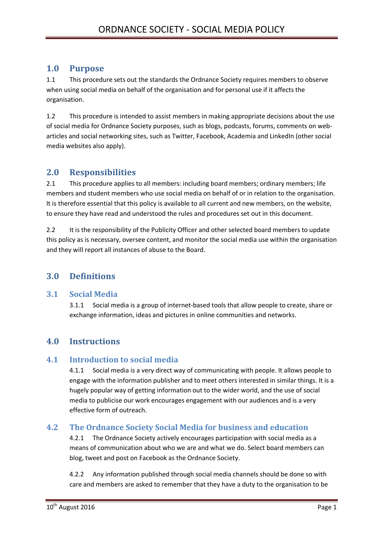# **1.0 Purpose**

1.1 This procedure sets out the standards the Ordnance Society requires members to observe when using social media on behalf of the organisation and for personal use if it affects the organisation.

1.2 This procedure is intended to assist members in making appropriate decisions about the use of social media for Ordnance Society purposes, such as blogs, podcasts, forums, comments on webarticles and social networking sites, such as Twitter, Facebook, Academia and LinkedIn (other social media websites also apply).

# **2.0 Responsibilities**

2.1 This procedure applies to all members: including board members; ordinary members; life members and student members who use social media on behalf of or in relation to the organisation. It is therefore essential that this policy is available to all current and new members, on the website, to ensure they have read and understood the rules and procedures set out in this document.

2.2 It is the responsibility of the Publicity Officer and other selected board members to update this policy as is necessary, oversee content, and monitor the social media use within the organisation and they will report all instances of abuse to the Board.

# **3.0 Definitions**

## **3.1 Social Media**

3.1.1 Social media is a group of internet-based tools that allow people to create, share or exchange information, ideas and pictures in online communities and networks.

# **4.0 Instructions**

## **4.1 Introduction to social media**

4.1.1 Social media is a very direct way of communicating with people. It allows people to engage with the information publisher and to meet others interested in similar things. It is a hugely popular way of getting information out to the wider world, and the use of social media to publicise our work encourages engagement with our audiences and is a very effective form of outreach.

## **4.2 The Ordnance Society Social Media for business and education**

4.2.1 The Ordnance Society actively encourages participation with social media as a means of communication about who we are and what we do. Select board members can blog, tweet and post on Facebook as the Ordnance Society.

4.2.2 Any information published through social media channels should be done so with care and members are asked to remember that they have a duty to the organisation to be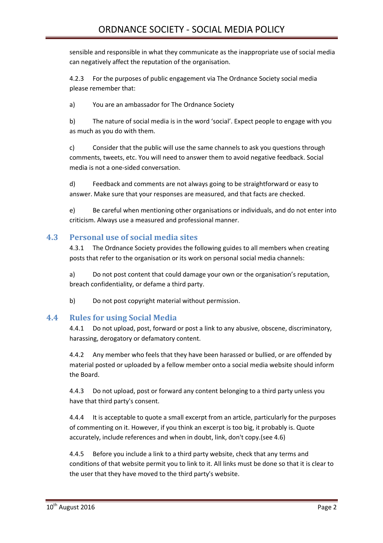sensible and responsible in what they communicate as the inappropriate use of social media can negatively affect the reputation of the organisation.

4.2.3 For the purposes of public engagement via The Ordnance Society social media please remember that:

a) You are an ambassador for The Ordnance Society

b) The nature of social media is in the word 'social'. Expect people to engage with you as much as you do with them.

c) Consider that the public will use the same channels to ask you questions through comments, tweets, etc. You will need to answer them to avoid negative feedback. Social media is not a one-sided conversation.

d) Feedback and comments are not always going to be straightforward or easy to answer. Make sure that your responses are measured, and that facts are checked.

e) Be careful when mentioning other organisations or individuals, and do not enter into criticism. Always use a measured and professional manner.

### **4.3 Personal use of social media sites**

4.3.1 The Ordnance Society provides the following guides to all members when creating posts that refer to the organisation or its work on personal social media channels:

a) Do not post content that could damage your own or the organisation's reputation, breach confidentiality, or defame a third party.

b) Do not post copyright material without permission.

#### **4.4 Rules for using Social Media**

4.4.1 Do not upload, post, forward or post a link to any abusive, obscene, discriminatory, harassing, derogatory or defamatory content.

4.4.2 Any member who feels that they have been harassed or bullied, or are offended by material posted or uploaded by a fellow member onto a social media website should inform the Board.

4.4.3 Do not upload, post or forward any content belonging to a third party unless you have that third party's consent.

4.4.4 It is acceptable to quote a small excerpt from an article, particularly for the purposes of commenting on it. However, if you think an excerpt is too big, it probably is. Quote accurately, include references and when in doubt, link, don't copy.(see 4.6)

4.4.5 Before you include a link to a third party website, check that any terms and conditions of that website permit you to link to it. All links must be done so that it is clear to the user that they have moved to the third party's website.